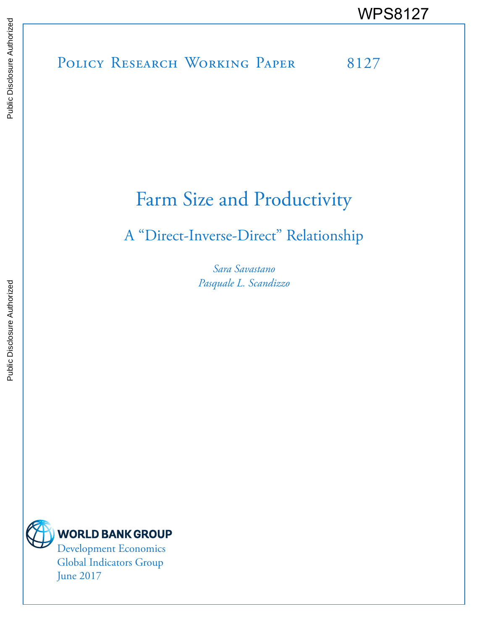Public Disclosure Authorized Public Disclosure Authorized

# POLICY RESEARCH WORKING PAPER 8127 WPS8127

## Farm Size and Productivity

## A "Direct-Inverse-Direct" Relationship

*Sara Savastano Pasquale L. Scandizzo*



June 2017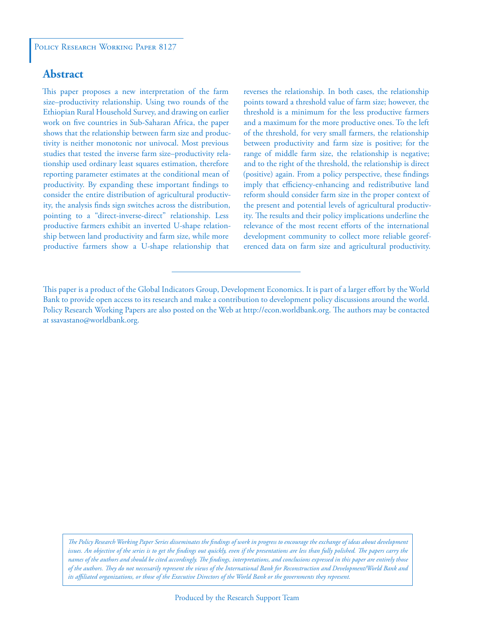### **Abstract**

This paper proposes a new interpretation of the farm size–productivity relationship. Using two rounds of the Ethiopian Rural Household Survey, and drawing on earlier work on five countries in Sub-Saharan Africa, the paper shows that the relationship between farm size and productivity is neither monotonic nor univocal. Most previous studies that tested the inverse farm size–productivity relationship used ordinary least squares estimation, therefore reporting parameter estimates at the conditional mean of productivity. By expanding these important findings to consider the entire distribution of agricultural productivity, the analysis finds sign switches across the distribution, pointing to a "direct-inverse-direct" relationship. Less productive farmers exhibit an inverted U-shape relationship between land productivity and farm size, while more productive farmers show a U-shape relationship that reverses the relationship. In both cases, the relationship points toward a threshold value of farm size; however, the threshold is a minimum for the less productive farmers and a maximum for the more productive ones. To the left of the threshold, for very small farmers, the relationship between productivity and farm size is positive; for the range of middle farm size, the relationship is negative; and to the right of the threshold, the relationship is direct (positive) again. From a policy perspective, these findings imply that efficiency-enhancing and redistributive land reform should consider farm size in the proper context of the present and potential levels of agricultural productivity. The results and their policy implications underline the relevance of the most recent efforts of the international development community to collect more reliable georeferenced data on farm size and agricultural productivity.

*The Policy Research Working Paper Series disseminates the findings of work in progress to encourage the exchange of ideas about development*  issues. An objective of the series is to get the findings out quickly, even if the presentations are less than fully polished. The papers carry the *names of the authors and should be cited accordingly. The findings, interpretations, and conclusions expressed in this paper are entirely those of the authors. They do not necessarily represent the views of the International Bank for Reconstruction and Development/World Bank and its affiliated organizations, or those of the Executive Directors of the World Bank or the governments they represent.*

This paper is a product of the Global Indicators Group, Development Economics. It is part of a larger effort by the World Bank to provide open access to its research and make a contribution to development policy discussions around the world. Policy Research Working Papers are also posted on the Web at http://econ.worldbank.org. The authors may be contacted at ssavastano@worldbank.org.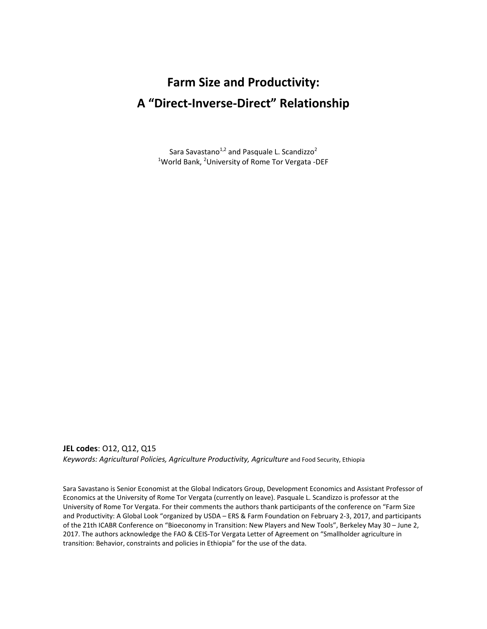## **Farm Size and Productivity: A "Direct-Inverse-Direct" Relationship**

Sara Savastano<sup>1,2</sup> and Pasquale L. Scandizzo<sup>2</sup> <sup>1</sup>World Bank, <sup>2</sup>University of Rome Tor Vergata -DEF

**JEL codes**: O12, Q12, Q15 *Keywords: Agricultural Policies, Agriculture Productivity, Agriculture* and Food Security, Ethiopia

Sara Savastano is Senior Economist at the Global Indicators Group, Development Economics and Assistant Professor of Economics at the University of Rome Tor Vergata (currently on leave). Pasquale L. Scandizzo is professor at the University of Rome Tor Vergata. For their comments the authors thank participants of the conference on "Farm Size and Productivity: A Global Look "organized by USDA – ERS & Farm Foundation on February 2-3, 2017, and participants of the 21th ICABR Conference on "Bioeconomy in Transition: New Players and New Tools", Berkeley May 30 – June 2, 2017. The authors acknowledge the FAO & CEIS-Tor Vergata Letter of Agreement on "Smallholder agriculture in transition: Behavior, constraints and policies in Ethiopia" for the use of the data.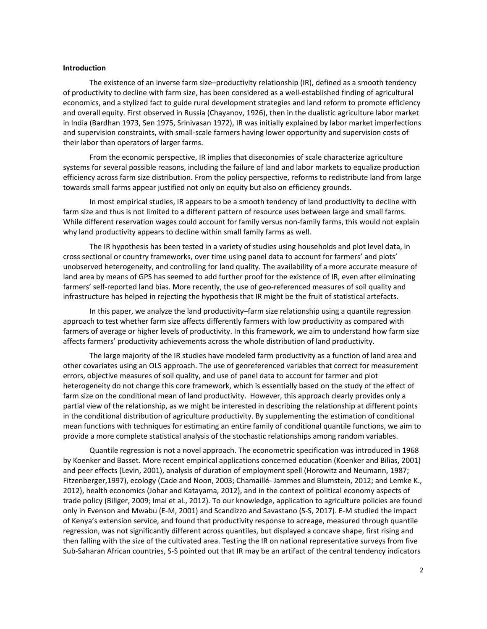#### **Introduction**

The existence of an inverse farm size–productivity relationship (IR), defined as a smooth tendency of productivity to decline with farm size, has been considered as a well-established finding of agricultural economics, and a stylized fact to guide rural development strategies and land reform to promote efficiency and overall equity. First observed in Russia (Chayanov, 1926), then in the dualistic agriculture labor market in India (Bardhan 1973, Sen 1975, Srinivasan 1972), IR was initially explained by labor market imperfections and supervision constraints, with small-scale farmers having lower opportunity and supervision costs of their labor than operators of larger farms.

From the economic perspective, IR implies that diseconomies of scale characterize agriculture systems for several possible reasons, including the failure of land and labor markets to equalize production efficiency across farm size distribution. From the policy perspective, reforms to redistribute land from large towards small farms appear justified not only on equity but also on efficiency grounds.

In most empirical studies, IR appears to be a smooth tendency of land productivity to decline with farm size and thus is not limited to a different pattern of resource uses between large and small farms. While different reservation wages could account for family versus non-family farms, this would not explain why land productivity appears to decline within small family farms as well.

The IR hypothesis has been tested in a variety of studies using households and plot level data, in cross sectional or country frameworks, over time using panel data to account for farmers' and plots' unobserved heterogeneity, and controlling for land quality. The availability of a more accurate measure of land area by means of GPS has seemed to add further proof for the existence of IR, even after eliminating farmers' self-reported land bias. More recently, the use of geo-referenced measures of soil quality and infrastructure has helped in rejecting the hypothesis that IR might be the fruit of statistical artefacts.

In this paper, we analyze the land productivity–farm size relationship using a quantile regression approach to test whether farm size affects differently farmers with low productivity as compared with farmers of average or higher levels of productivity. In this framework, we aim to understand how farm size affects farmers' productivity achievements across the whole distribution of land productivity.

The large majority of the IR studies have modeled farm productivity as a function of land area and other covariates using an OLS approach. The use of georeferenced variables that correct for measurement errors, objective measures of soil quality, and use of panel data to account for farmer and plot heterogeneity do not change this core framework, which is essentially based on the study of the effect of farm size on the conditional mean of land productivity. However, this approach clearly provides only a partial view of the relationship, as we might be interested in describing the relationship at different points in the conditional distribution of agriculture productivity. By supplementing the estimation of conditional mean functions with techniques for estimating an entire family of conditional quantile functions, we aim to provide a more complete statistical analysis of the stochastic relationships among random variables.

Quantile regression is not a novel approach. The econometric specification was introduced in 1968 by Koenker and Basset. More recent empirical applications concerned education (Koenker and Bilias, 2001) and peer effects (Levin, 2001), analysis of duration of employment spell (Horowitz and Neumann, 1987; Fitzenberger,1997), ecology (Cade and Noon, 2003; Chamaillé- Jammes and Blumstein, 2012; and Lemke K., 2012), health economics (Johar and Katayama, 2012), and in the context of political economy aspects of trade policy (Billger, 2009; Imai et al., 2012). To our knowledge, application to agriculture policies are found only in Evenson and Mwabu (E-M, 2001) and Scandizzo and Savastano (S-S, 2017). E-M studied the impact of Kenya's extension service, and found that productivity response to acreage, measured through quantile regression, was not significantly different across quantiles, but displayed a concave shape, first rising and then falling with the size of the cultivated area. Testing the IR on national representative surveys from five Sub-Saharan African countries, S-S pointed out that IR may be an artifact of the central tendency indicators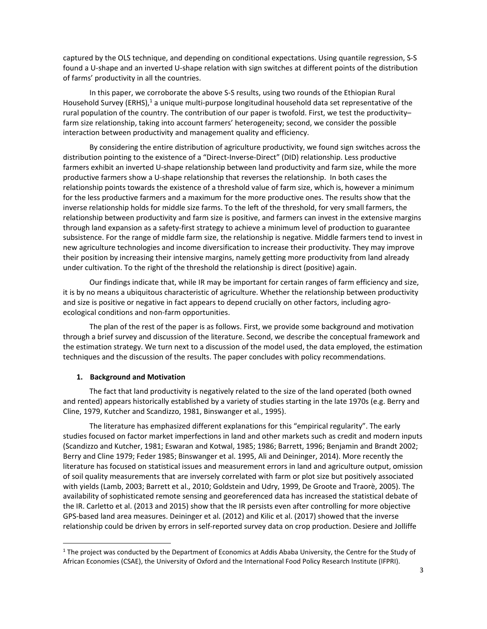captured by the OLS technique, and depending on conditional expectations. Using quantile regression, S-S found a U-shape and an inverted U-shape relation with sign switches at different points of the distribution of farms' productivity in all the countries.

In this paper, we corroborate the above S-S results, using two rounds of the Ethiopian Rural Household Survey (ERHS),<sup>1</sup> a unique multi-purpose longitudinal household data set representative of the rural population of the country. The contribution of our paper is twofold. First, we test the productivity– farm size relationship, taking into account farmers' heterogeneity; second, we consider the possible interaction between productivity and management quality and efficiency.

By considering the entire distribution of agriculture productivity, we found sign switches across the distribution pointing to the existence of a "Direct-Inverse-Direct" (DID) relationship. Less productive farmers exhibit an inverted U-shape relationship between land productivity and farm size, while the more productive farmers show a U-shape relationship that reverses the relationship. In both cases the relationship points towards the existence of a threshold value of farm size, which is, however a minimum for the less productive farmers and a maximum for the more productive ones. The results show that the inverse relationship holds for middle size farms. To the left of the threshold, for very small farmers, the relationship between productivity and farm size is positive, and farmers can invest in the extensive margins through land expansion as a safety-first strategy to achieve a minimum level of production to guarantee subsistence. For the range of middle farm size, the relationship is negative. Middle farmers tend to invest in new agriculture technologies and income diversification to increase their productivity. They may improve their position by increasing their intensive margins, namely getting more productivity from land already under cultivation. To the right of the threshold the relationship is direct (positive) again.

Our findings indicate that, while IR may be important for certain ranges of farm efficiency and size, it is by no means a ubiquitous characteristic of agriculture. Whether the relationship between productivity and size is positive or negative in fact appears to depend crucially on other factors, including agroecological conditions and non-farm opportunities.

The plan of the rest of the paper is as follows. First, we provide some background and motivation through a brief survey and discussion of the literature. Second, we describe the conceptual framework and the estimation strategy. We turn next to a discussion of the model used, the data employed, the estimation techniques and the discussion of the results. The paper concludes with policy recommendations.

#### **1. Background and Motivation**

 $\overline{a}$ 

The fact that land productivity is negatively related to the size of the land operated (both owned and rented) appears historically established by a variety of studies starting in the late 1970s (e.g. Berry and Cline, 1979, Kutcher and Scandizzo, 1981, Binswanger et al., 1995).

The literature has emphasized different explanations for this "empirical regularity". The early studies focused on factor market imperfections in land and other markets such as credit and modern inputs (Scandizzo and Kutcher, 1981; Eswaran and Kotwal, 1985; 1986; Barrett, 1996; Benjamin and Brandt 2002; Berry and Cline 1979; Feder 1985; Binswanger et al. 1995, Ali and Deininger, 2014). More recently the literature has focused on statistical issues and measurement errors in land and agriculture output, omission of soil quality measurements that are inversely correlated with farm or plot size but positively associated with yields (Lamb, 2003; Barrett et al., 2010; Goldstein and Udry, 1999, De Groote and Traorè, 2005). The availability of sophisticated remote sensing and georeferenced data has increased the statistical debate of the IR. Carletto et al. (2013 and 2015) show that the IR persists even after controlling for more objective GPS-based land area measures. Deininger et al. (2012) and Kilic et al. (2017) showed that the inverse relationship could be driven by errors in self-reported survey data on crop production. Desiere and Jolliffe

<sup>&</sup>lt;sup>1</sup> The project was conducted by the Department of Economics at Addis Ababa University, the Centre for the Study of African Economies (CSAE), the University of Oxford and the International Food Policy Research Institute (IFPRI).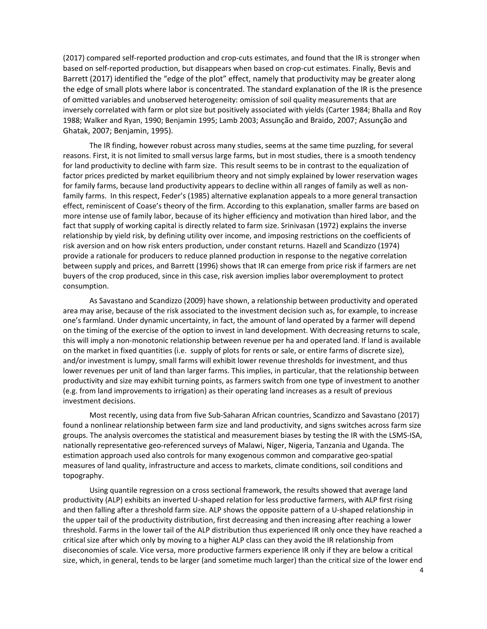(2017) compared self-reported production and crop-cuts estimates, and found that the IR is stronger when based on self-reported production, but disappears when based on crop-cut estimates. Finally, Bevis and Barrett (2017) identified the "edge of the plot" effect, namely that productivity may be greater along the edge of small plots where labor is concentrated. The standard explanation of the IR is the presence of omitted variables and unobserved heterogeneity: omission of soil quality measurements that are inversely correlated with farm or plot size but positively associated with yields (Carter 1984; Bhalla and Roy 1988; Walker and Ryan, 1990; Benjamin 1995; Lamb 2003; Assunção and Braido, 2007; Assunção and Ghatak, 2007; Benjamin, 1995).

The IR finding, however robust across many studies, seems at the same time puzzling, for several reasons. First, it is not limited to small versus large farms, but in most studies, there is a smooth tendency for land productivity to decline with farm size. This result seems to be in contrast to the equalization of factor prices predicted by market equilibrium theory and not simply explained by lower reservation wages for family farms, because land productivity appears to decline within all ranges of family as well as nonfamily farms. In this respect, Feder's (1985) alternative explanation appeals to a more general transaction effect, reminiscent of Coase's theory of the firm. According to this explanation, smaller farms are based on more intense use of family labor, because of its higher efficiency and motivation than hired labor, and the fact that supply of working capital is directly related to farm size. Srinivasan (1972) explains the inverse relationship by yield risk, by defining utility over income, and imposing restrictions on the coefficients of risk aversion and on how risk enters production, under constant returns. Hazell and Scandizzo (1974) provide a rationale for producers to reduce planned production in response to the negative correlation between supply and prices, and Barrett (1996) shows that IR can emerge from price risk if farmers are net buyers of the crop produced, since in this case, risk aversion implies labor overemployment to protect consumption.

As Savastano and Scandizzo (2009) have shown, a relationship between productivity and operated area may arise, because of the risk associated to the investment decision such as, for example, to increase one's farmland. Under dynamic uncertainty, in fact, the amount of land operated by a farmer will depend on the timing of the exercise of the option to invest in land development. With decreasing returns to scale, this will imply a non-monotonic relationship between revenue per ha and operated land. If land is available on the market in fixed quantities (i.e. supply of plots for rents or sale, or entire farms of discrete size), and/or investment is lumpy, small farms will exhibit lower revenue thresholds for investment, and thus lower revenues per unit of land than larger farms. This implies, in particular, that the relationship between productivity and size may exhibit turning points, as farmers switch from one type of investment to another (e.g. from land improvements to irrigation) as their operating land increases as a result of previous investment decisions.

Most recently, using data from five Sub-Saharan African countries, Scandizzo and Savastano (2017) found a nonlinear relationship between farm size and land productivity, and signs switches across farm size groups. The analysis overcomes the statistical and measurement biases by testing the IR with the LSMS-ISA, nationally representative geo-referenced surveys of Malawi, Niger, Nigeria, Tanzania and Uganda. The estimation approach used also controls for many exogenous common and comparative geo-spatial measures of land quality, infrastructure and access to markets, climate conditions, soil conditions and topography.

Using quantile regression on a cross sectional framework, the results showed that average land productivity (ALP) exhibits an inverted U-shaped relation for less productive farmers, with ALP first rising and then falling after a threshold farm size. ALP shows the opposite pattern of a U-shaped relationship in the upper tail of the productivity distribution, first decreasing and then increasing after reaching a lower threshold. Farms in the lower tail of the ALP distribution thus experienced IR only once they have reached a critical size after which only by moving to a higher ALP class can they avoid the IR relationship from diseconomies of scale. Vice versa, more productive farmers experience IR only if they are below a critical size, which, in general, tends to be larger (and sometime much larger) than the critical size of the lower end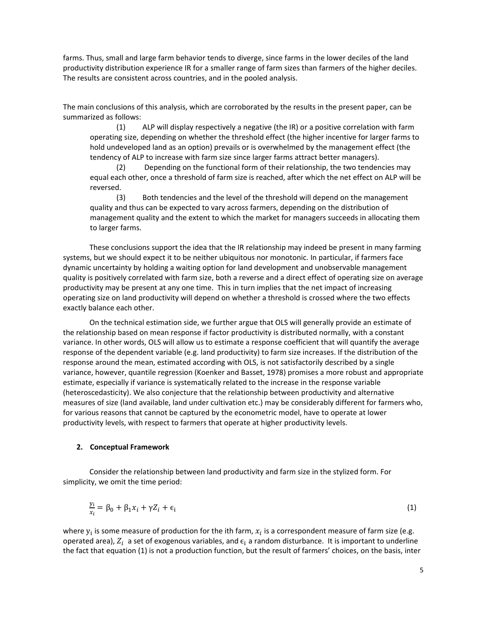farms. Thus, small and large farm behavior tends to diverge, since farms in the lower deciles of the land productivity distribution experience IR for a smaller range of farm sizes than farmers of the higher deciles. The results are consistent across countries, and in the pooled analysis.

The main conclusions of this analysis, which are corroborated by the results in the present paper, can be summarized as follows:

(1) ALP will display respectively a negative (the IR) or a positive correlation with farm operating size, depending on whether the threshold effect (the higher incentive for larger farms to hold undeveloped land as an option) prevails or is overwhelmed by the management effect (the tendency of ALP to increase with farm size since larger farms attract better managers).

(2) Depending on the functional form of their relationship, the two tendencies may equal each other, once a threshold of farm size is reached, after which the net effect on ALP will be reversed.

(3) Both tendencies and the level of the threshold will depend on the management quality and thus can be expected to vary across farmers, depending on the distribution of management quality and the extent to which the market for managers succeeds in allocating them to larger farms.

These conclusions support the idea that the IR relationship may indeed be present in many farming systems, but we should expect it to be neither ubiquitous nor monotonic. In particular, if farmers face dynamic uncertainty by holding a waiting option for land development and unobservable management quality is positively correlated with farm size, both a reverse and a direct effect of operating size on average productivity may be present at any one time. This in turn implies that the net impact of increasing operating size on land productivity will depend on whether a threshold is crossed where the two effects exactly balance each other.

On the technical estimation side, we further argue that OLS will generally provide an estimate of the relationship based on mean response if factor productivity is distributed normally, with a constant variance. In other words, OLS will allow us to estimate a response coefficient that will quantify the average response of the dependent variable (e.g. land productivity) to farm size increases. If the distribution of the response around the mean, estimated according with OLS, is not satisfactorily described by a single variance, however, quantile regression (Koenker and Basset, 1978) promises a more robust and appropriate estimate, especially if variance is systematically related to the increase in the response variable (heteroscedasticity). We also conjecture that the relationship between productivity and alternative measures of size (land available, land under cultivation etc.) may be considerably different for farmers who, for various reasons that cannot be captured by the econometric model, have to operate at lower productivity levels, with respect to farmers that operate at higher productivity levels.

#### **2. Conceptual Framework**

Consider the relationship between land productivity and farm size in the stylized form. For simplicity, we omit the time period:

$$
\frac{y_i}{x_i} = \beta_0 + \beta_1 x_i + \gamma Z_i + \epsilon_i \tag{1}
$$

where  $y_i$  is some measure of production for the ith farm,  $x_i$  is a correspondent measure of farm size (e.g. operated area),  $Z_i$  a set of exogenous variables, and  $\epsilon_i$  a random disturbance. It is important to underline the fact that equation (1) is not a production function, but the result of farmers' choices, on the basis, inter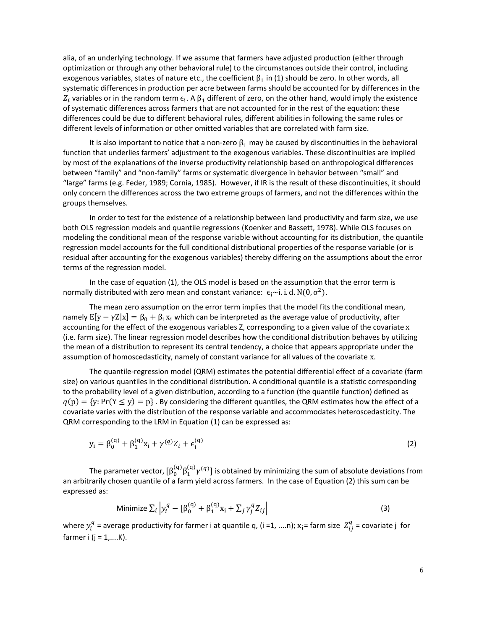alia, of an underlying technology. If we assume that farmers have adjusted production (either through optimization or through any other behavioral rule) to the circumstances outside their control, including exogenous variables, states of nature etc., the coefficient  $\beta_1$  in (1) should be zero. In other words, all systematic differences in production per acre between farms should be accounted for by differences in the  $Z_i$  variables or in the random term  $\epsilon_i$ . A  $\beta_1$  different of zero, on the other hand, would imply the existence of systematic differences across farmers that are not accounted for in the rest of the equation: these differences could be due to different behavioral rules, different abilities in following the same rules or different levels of information or other omitted variables that are correlated with farm size.

It is also important to notice that a non-zero  $\beta_1$  may be caused by discontinuities in the behavioral function that underlies farmers' adjustment to the exogenous variables. These discontinuities are implied by most of the explanations of the inverse productivity relationship based on anthropological differences between "family" and "non-family" farms or systematic divergence in behavior between "small" and "large" farms (e.g. Feder, 1989; Cornia, 1985). However, if IR is the result of these discontinuities, it should only concern the differences across the two extreme groups of farmers, and not the differences within the groups themselves.

In order to test for the existence of a relationship between land productivity and farm size, we use both OLS regression models and quantile regressions (Koenker and Bassett, 1978). While OLS focuses on modeling the conditional mean of the response variable without accounting for its distribution, the quantile regression model accounts for the full conditional distributional properties of the response variable (or is residual after accounting for the exogenous variables) thereby differing on the assumptions about the error terms of the regression model.

In the case of equation (1), the OLS model is based on the assumption that the error term is normally distributed with zero mean and constant variance:  $\epsilon_i \sim i.i.d. N(0, \sigma^2)$ .

The mean zero assumption on the error term implies that the model fits the conditional mean, namely  $E[y - \gamma Z|x] = \beta_0 + \beta_1 x_i$  which can be interpreted as the average value of productivity, after accounting for the effect of the exogenous variables Z, corresponding to a given value of the covariate x (i.e. farm size). The linear regression model describes how the conditional distribution behaves by utilizing the mean of a distribution to represent its central tendency, a choice that appears appropriate under the assumption of homoscedasticity, namely of constant variance for all values of the covariate x.

The quantile-regression model (QRM) estimates the potential differential effect of a covariate (farm size) on various quantiles in the conditional distribution. A conditional quantile is a statistic corresponding to the probability level of a given distribution, according to a function (the quantile function) defined as  $q(p) = {y: Pr(Y \le y) = p}$ . By considering the different quantiles, the QRM estimates how the effect of a covariate varies with the distribution of the response variable and accommodates heteroscedasticity. The QRM corresponding to the LRM in Equation (1) can be expressed as:

$$
y_i = \beta_0^{(q)} + \beta_1^{(q)} x_i + \gamma^{(q)} Z_i + \epsilon_i^{(q)}
$$
 (2)

The parameter vector,  $[\beta_0^{\text{(q)}}\beta_1^{\text{(q)}}\gamma^{(q)}]$  is obtained by minimizing the sum of absolute deviations from an arbitrarily chosen quantile of a farm yield across farmers. In the case of Equation (2) this sum can be expressed as:

$$
\text{Minimize } \sum_{i} \left| y_i^q - \left[ \beta_0^{(q)} + \beta_1^{(q)} x_i + \sum_j \gamma_j^q Z_{ij} \right] \right| \tag{3}
$$

where  $y_i^q$  = average productivity for farmer i at quantile q, (i =1, ....n);  $x_i$ = farm size  $Z_{ij}^q$  = covariate j for farmer i  $(j = 1, \ldots, K)$ .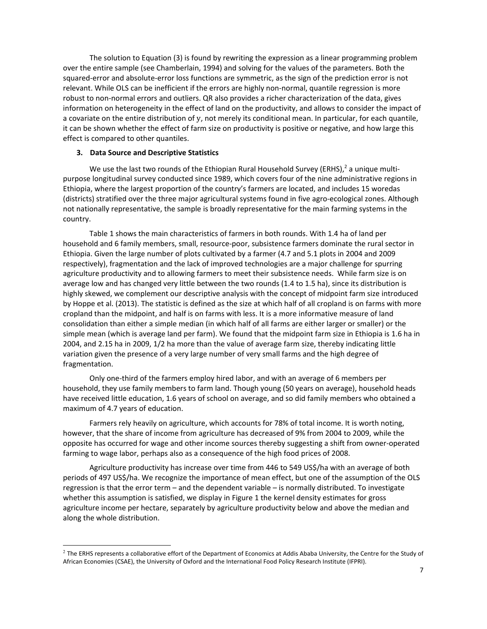The solution to Equation (3) is found by rewriting the expression as a linear programming problem over the entire sample (see Chamberlain, 1994) and solving for the values of the parameters. Both the squared-error and absolute-error loss functions are symmetric, as the sign of the prediction error is not relevant. While OLS can be inefficient if the errors are highly non-normal, quantile regression is more robust to non-normal errors and outliers. QR also provides a richer characterization of the data, gives information on heterogeneity in the effect of land on the productivity, and allows to consider the impact of a covariate on the entire distribution of y, not merely its conditional mean. In particular, for each quantile, it can be shown whether the effect of farm size on productivity is positive or negative, and how large this effect is compared to other quantiles.

#### **3. Data Source and Descriptive Statistics**

 $\overline{a}$ 

We use the last two rounds of the Ethiopian Rural Household Survey (ERHS),<sup>2</sup> a unique multipurpose longitudinal survey conducted since 1989, which covers four of the nine administrative regions in Ethiopia, where the largest proportion of the country's farmers are located, and includes 15 woredas (districts) stratified over the three major agricultural systems found in five agro-ecological zones. Although not nationally representative, the sample is broadly representative for the main farming systems in the country.

Table 1 shows the main characteristics of farmers in both rounds. With 1.4 ha of land per household and 6 family members, small, resource-poor, subsistence farmers dominate the rural sector in Ethiopia. Given the large number of plots cultivated by a farmer (4.7 and 5.1 plots in 2004 and 2009 respectively), fragmentation and the lack of improved technologies are a major challenge for spurring agriculture productivity and to allowing farmers to meet their subsistence needs. While farm size is on average low and has changed very little between the two rounds (1.4 to 1.5 ha), since its distribution is highly skewed, we complement our descriptive analysis with the concept of midpoint farm size introduced by Hoppe et al. (2013). The statistic is defined as the size at which half of all cropland is on farms with more cropland than the midpoint, and half is on farms with less. It is a more informative measure of land consolidation than either a simple median (in which half of all farms are either larger or smaller) or the simple mean (which is average land per farm). We found that the midpoint farm size in Ethiopia is 1.6 ha in 2004, and 2.15 ha in 2009, 1/2 ha more than the value of average farm size, thereby indicating little variation given the presence of a very large number of very small farms and the high degree of fragmentation.

Only one-third of the farmers employ hired labor, and with an average of 6 members per household, they use family members to farm land. Though young (50 years on average), household heads have received little education, 1.6 years of school on average, and so did family members who obtained a maximum of 4.7 years of education.

Farmers rely heavily on agriculture, which accounts for 78% of total income. It is worth noting, however, that the share of income from agriculture has decreased of 9% from 2004 to 2009, while the opposite has occurred for wage and other income sources thereby suggesting a shift from owner-operated farming to wage labor, perhaps also as a consequence of the high food prices of 2008.

Agriculture productivity has increase over time from 446 to 549 US\$/ha with an average of both periods of 497 US\$/ha. We recognize the importance of mean effect, but one of the assumption of the OLS regression is that the error term – and the dependent variable – is normally distributed. To investigate whether this assumption is satisfied, we display in Figure 1 the kernel density estimates for gross agriculture income per hectare, separately by agriculture productivity below and above the median and along the whole distribution.

 $2$  The ERHS represents a collaborative effort of the Department of Economics at Addis Ababa University, the Centre for the Study of African Economies (CSAE), the University of Oxford and the International Food Policy Research Institute (IFPRI).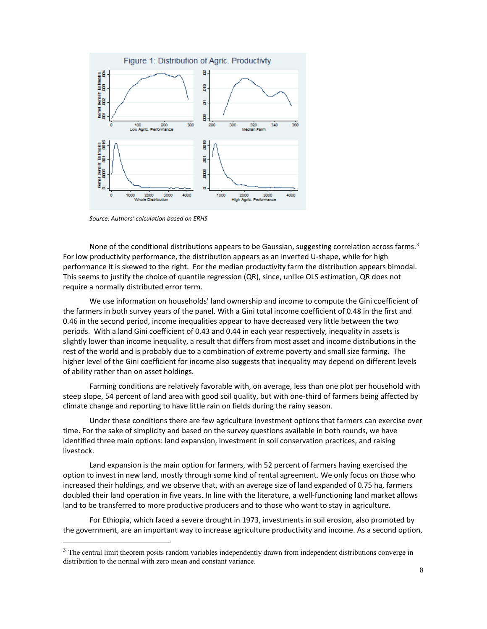

*Source: Authors' calculation based on ERHS* 

 $\overline{a}$ 

None of the conditional distributions appears to be Gaussian, suggesting correlation across farms.<sup>3</sup> For low productivity performance, the distribution appears as an inverted U-shape, while for high performance it is skewed to the right. For the median productivity farm the distribution appears bimodal. This seems to justify the choice of quantile regression (QR), since, unlike OLS estimation, QR does not require a normally distributed error term.

We use information on households' land ownership and income to compute the Gini coefficient of the farmers in both survey years of the panel. With a Gini total income coefficient of 0.48 in the first and 0.46 in the second period, income inequalities appear to have decreased very little between the two periods. With a land Gini coefficient of 0.43 and 0.44 in each year respectively, inequality in assets is slightly lower than income inequality, a result that differs from most asset and income distributions in the rest of the world and is probably due to a combination of extreme poverty and small size farming. The higher level of the Gini coefficient for income also suggests that inequality may depend on different levels of ability rather than on asset holdings.

Farming conditions are relatively favorable with, on average, less than one plot per household with steep slope, 54 percent of land area with good soil quality, but with one-third of farmers being affected by climate change and reporting to have little rain on fields during the rainy season.

Under these conditions there are few agriculture investment options that farmers can exercise over time. For the sake of simplicity and based on the survey questions available in both rounds, we have identified three main options: land expansion, investment in soil conservation practices, and raising livestock.

Land expansion is the main option for farmers, with 52 percent of farmers having exercised the option to invest in new land, mostly through some kind of rental agreement. We only focus on those who increased their holdings, and we observe that, with an average size of land expanded of 0.75 ha, farmers doubled their land operation in five years. In line with the literature, a well-functioning land market allows land to be transferred to more productive producers and to those who want to stay in agriculture.

For Ethiopia, which faced a severe drought in 1973, investments in soil erosion, also promoted by the government, are an important way to increase agriculture productivity and income. As a second option,

<sup>&</sup>lt;sup>3</sup> The central limit theorem posits random variables independently drawn from independent distributions converge in distribution to the normal with zero mean and constant variance.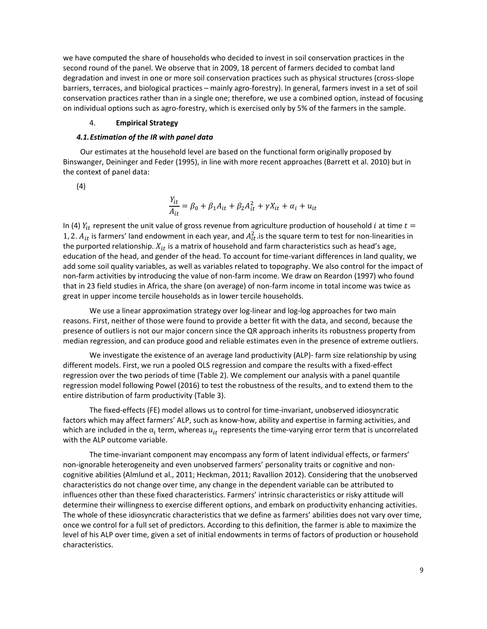we have computed the share of households who decided to invest in soil conservation practices in the second round of the panel. We observe that in 2009, 18 percent of farmers decided to combat land degradation and invest in one or more soil conservation practices such as physical structures (cross-slope barriers, terraces, and biological practices – mainly agro-forestry). In general, farmers invest in a set of soil conservation practices rather than in a single one; therefore, we use a combined option, instead of focusing on individual options such as agro-forestry, which is exercised only by 5% of the farmers in the sample.

#### 4. **Empirical Strategy**

#### *4.1.Estimation of the IR with panel data*

 Our estimates at the household level are based on the functional form originally proposed by Binswanger, Deininger and Feder (1995), in line with more recent approaches (Barrett et al. 2010) but in the context of panel data:

(4)

$$
\frac{Y_{it}}{A_{it}} = \beta_0 + \beta_1 A_{it} + \beta_2 A_{it}^2 + \gamma X_{it} + \alpha_i + u_{it}
$$

In (4)  $Y_{it}$  represent the unit value of gross revenue from agriculture production of household *i* at time  $t=$ 1, 2.  $A_{it}$  is farmers' land endowment in each year, and  $A_{it}^2$  is the square term to test for non-linearities in the purported relationship.  $X_{it}$  is a matrix of household and farm characteristics such as head's age, education of the head, and gender of the head. To account for time-variant differences in land quality, we add some soil quality variables, as well as variables related to topography. We also control for the impact of non-farm activities by introducing the value of non-farm income. We draw on Reardon (1997) who found that in 23 field studies in Africa, the share (on average) of non-farm income in total income was twice as great in upper income tercile househoIds as in lower tercile households.

We use a linear approximation strategy over log-linear and log-log approaches for two main reasons. First, neither of those were found to provide a better fit with the data, and second, because the presence of outliers is not our major concern since the QR approach inherits its robustness property from median regression, and can produce good and reliable estimates even in the presence of extreme outliers.

We investigate the existence of an average land productivity (ALP)- farm size relationship by using different models. First, we run a pooled OLS regression and compare the results with a fixed-effect regression over the two periods of time (Table 2). We complement our analysis with a panel quantile regression model following Powel (2016) to test the robustness of the results, and to extend them to the entire distribution of farm productivity (Table 3).

The fixed-effects (FE) model allows us to control for time-invariant, unobserved idiosyncratic factors which may affect farmers' ALP, such as know-how, ability and expertise in farming activities, and which are included in the  $\alpha_i$  term, whereas  $u_{it}$  represents the time-varying error term that is uncorrelated with the ALP outcome variable.

The time-invariant component may encompass any form of latent individual effects, or farmers' non-ignorable heterogeneity and even unobserved farmers' personality traits or cognitive and noncognitive abilities (Almlund et al., 2011; Heckman, 2011; Ravallion 2012). Considering that the unobserved characteristics do not change over time, any change in the dependent variable can be attributed to influences other than these fixed characteristics. Farmers' intrinsic characteristics or risky attitude will determine their willingness to exercise different options, and embark on productivity enhancing activities. The whole of these idiosyncratic characteristics that we define as farmers' abilities does not vary over time, once we control for a full set of predictors. According to this definition, the farmer is able to maximize the level of his ALP over time, given a set of initial endowments in terms of factors of production or household characteristics.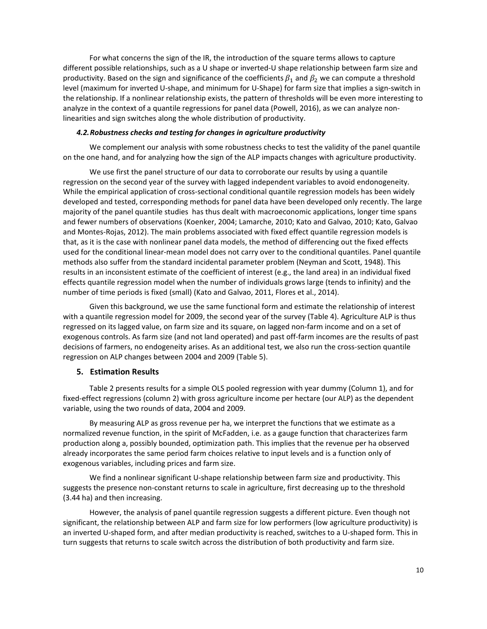For what concerns the sign of the IR, the introduction of the square terms allows to capture different possible relationships, such as a U shape or inverted-U shape relationship between farm size and productivity. Based on the sign and significance of the coefficients  $\beta_1$  and  $\beta_2$  we can compute a threshold level (maximum for inverted U-shape, and minimum for U-Shape) for farm size that implies a sign-switch in the relationship. If a nonlinear relationship exists, the pattern of thresholds will be even more interesting to analyze in the context of a quantile regressions for panel data (Powell, 2016), as we can analyze nonlinearities and sign switches along the whole distribution of productivity.

#### *4.2.Robustness checks and testing for changes in agriculture productivity*

We complement our analysis with some robustness checks to test the validity of the panel quantile on the one hand, and for analyzing how the sign of the ALP impacts changes with agriculture productivity.

We use first the panel structure of our data to corroborate our results by using a quantile regression on the second year of the survey with lagged independent variables to avoid endonogeneity. While the empirical application of cross-sectional conditional quantile regression models has been widely developed and tested, corresponding methods for panel data have been developed only recently. The large majority of the panel quantile studies has thus dealt with macroeconomic applications, longer time spans and fewer numbers of observations (Koenker, 2004; Lamarche, 2010; Kato and Galvao, 2010; Kato, Galvao and Montes-Rojas, 2012). The main problems associated with fixed effect quantile regression models is that, as it is the case with nonlinear panel data models, the method of differencing out the fixed effects used for the conditional linear-mean model does not carry over to the conditional quantiles. Panel quantile methods also suffer from the standard incidental parameter problem (Neyman and Scott, 1948). This results in an inconsistent estimate of the coefficient of interest (e.g., the land area) in an individual fixed effects quantile regression model when the number of individuals grows large (tends to infinity) and the number of time periods is fixed (small) (Kato and Galvao, 2011, Flores et al., 2014).

Given this background, we use the same functional form and estimate the relationship of interest with a quantile regression model for 2009, the second year of the survey (Table 4). Agriculture ALP is thus regressed on its lagged value, on farm size and its square, on lagged non-farm income and on a set of exogenous controls. As farm size (and not land operated) and past off-farm incomes are the results of past decisions of farmers, no endogeneity arises. As an additional test, we also run the cross-section quantile regression on ALP changes between 2004 and 2009 (Table 5).

#### **5. Estimation Results**

Table 2 presents results for a simple OLS pooled regression with year dummy (Column 1), and for fixed-effect regressions (column 2) with gross agriculture income per hectare (our ALP) as the dependent variable, using the two rounds of data, 2004 and 2009.

By measuring ALP as gross revenue per ha, we interpret the functions that we estimate as a normalized revenue function, in the spirit of McFadden, i.e. as a gauge function that characterizes farm production along a, possibly bounded, optimization path. This implies that the revenue per ha observed already incorporates the same period farm choices relative to input levels and is a function only of exogenous variables, including prices and farm size.

We find a nonlinear significant U-shape relationship between farm size and productivity. This suggests the presence non-constant returns to scale in agriculture, first decreasing up to the threshold (3.44 ha) and then increasing.

However, the analysis of panel quantile regression suggests a different picture. Even though not significant, the relationship between ALP and farm size for low performers (low agriculture productivity) is an inverted U-shaped form, and after median productivity is reached, switches to a U-shaped form. This in turn suggests that returns to scale switch across the distribution of both productivity and farm size.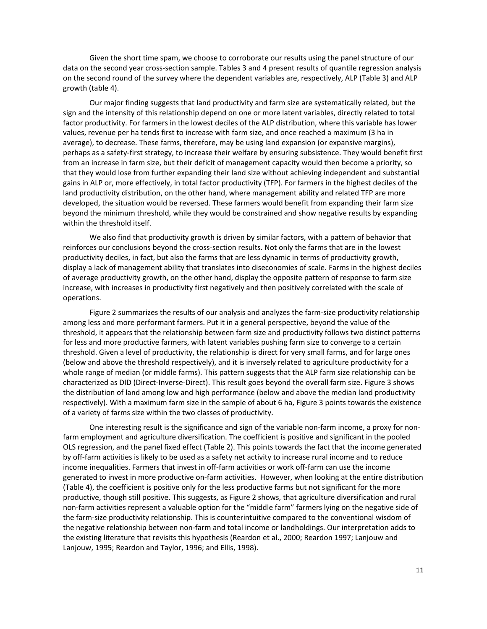Given the short time spam, we choose to corroborate our results using the panel structure of our data on the second year cross-section sample. Tables 3 and 4 present results of quantile regression analysis on the second round of the survey where the dependent variables are, respectively, ALP (Table 3) and ALP growth (table 4).

Our major finding suggests that land productivity and farm size are systematically related, but the sign and the intensity of this relationship depend on one or more latent variables, directly related to total factor productivity. For farmers in the lowest deciles of the ALP distribution, where this variable has lower values, revenue per ha tends first to increase with farm size, and once reached a maximum (3 ha in average), to decrease. These farms, therefore, may be using land expansion (or expansive margins), perhaps as a safety-first strategy, to increase their welfare by ensuring subsistence. They would benefit first from an increase in farm size, but their deficit of management capacity would then become a priority, so that they would lose from further expanding their land size without achieving independent and substantial gains in ALP or, more effectively, in total factor productivity (TFP). For farmers in the highest deciles of the land productivity distribution, on the other hand, where management ability and related TFP are more developed, the situation would be reversed. These farmers would benefit from expanding their farm size beyond the minimum threshold, while they would be constrained and show negative results by expanding within the threshold itself.

We also find that productivity growth is driven by similar factors, with a pattern of behavior that reinforces our conclusions beyond the cross-section results. Not only the farms that are in the lowest productivity deciles, in fact, but also the farms that are less dynamic in terms of productivity growth, display a lack of management ability that translates into diseconomies of scale. Farms in the highest deciles of average productivity growth, on the other hand, display the opposite pattern of response to farm size increase, with increases in productivity first negatively and then positively correlated with the scale of operations.

Figure 2 summarizes the results of our analysis and analyzes the farm-size productivity relationship among less and more performant farmers. Put it in a general perspective, beyond the value of the threshold, it appears that the relationship between farm size and productivity follows two distinct patterns for less and more productive farmers, with latent variables pushing farm size to converge to a certain threshold. Given a level of productivity, the relationship is direct for very small farms, and for large ones (below and above the threshold respectively), and it is inversely related to agriculture productivity for a whole range of median (or middle farms). This pattern suggests that the ALP farm size relationship can be characterized as DID (Direct-Inverse-Direct). This result goes beyond the overall farm size. Figure 3 shows the distribution of land among low and high performance (below and above the median land productivity respectively). With a maximum farm size in the sample of about 6 ha, Figure 3 points towards the existence of a variety of farms size within the two classes of productivity.

One interesting result is the significance and sign of the variable non-farm income, a proxy for nonfarm employment and agriculture diversification. The coefficient is positive and significant in the pooled OLS regression, and the panel fixed effect (Table 2). This points towards the fact that the income generated by off-farm activities is likely to be used as a safety net activity to increase rural income and to reduce income inequalities. Farmers that invest in off-farm activities or work off-farm can use the income generated to invest in more productive on-farm activities. However, when looking at the entire distribution (Table 4), the coefficient is positive only for the less productive farms but not significant for the more productive, though still positive. This suggests, as Figure 2 shows, that agriculture diversification and rural non-farm activities represent a valuable option for the "middle farm" farmers lying on the negative side of the farm-size productivity relationship. This is counterintuitive compared to the conventional wisdom of the negative relationship between non-farm and total income or landholdings. Our interpretation adds to the existing literature that revisits this hypothesis (Reardon et al., 2000; Reardon 1997; Lanjouw and Lanjouw, 1995; Reardon and Taylor, 1996; and Ellis, 1998).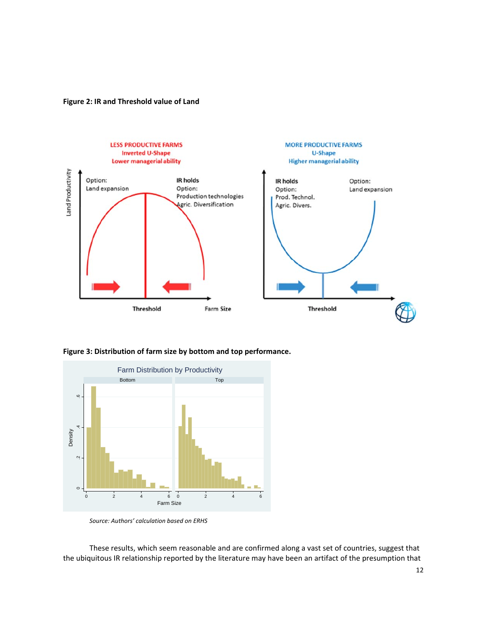**Figure 2: IR and Threshold value of Land** 



**Figure 3: Distribution of farm size by bottom and top performance.** 



*Source: Authors' calculation based on ERHS* 

These results, which seem reasonable and are confirmed along a vast set of countries, suggest that the ubiquitous IR relationship reported by the literature may have been an artifact of the presumption that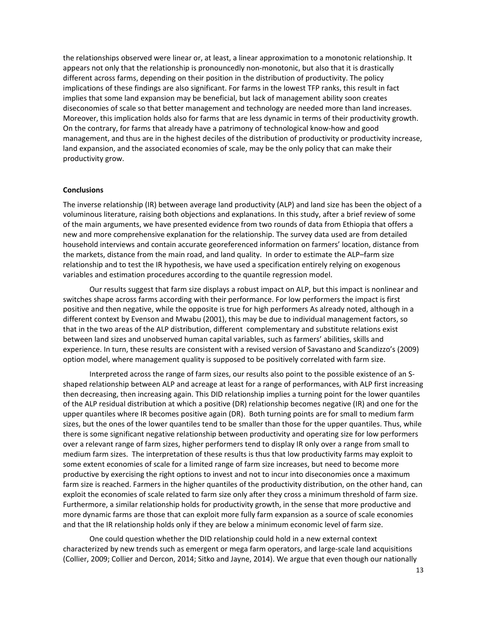the relationships observed were linear or, at least, a linear approximation to a monotonic relationship. It appears not only that the relationship is pronouncedly non-monotonic, but also that it is drastically different across farms, depending on their position in the distribution of productivity. The policy implications of these findings are also significant. For farms in the lowest TFP ranks, this result in fact implies that some land expansion may be beneficial, but lack of management ability soon creates diseconomies of scale so that better management and technology are needed more than land increases. Moreover, this implication holds also for farms that are less dynamic in terms of their productivity growth. On the contrary, for farms that already have a patrimony of technological know-how and good management, and thus are in the highest deciles of the distribution of productivity or productivity increase, land expansion, and the associated economies of scale, may be the only policy that can make their productivity grow.

#### **Conclusions**

The inverse relationship (IR) between average land productivity (ALP) and land size has been the object of a voluminous literature, raising both objections and explanations. In this study, after a brief review of some of the main arguments, we have presented evidence from two rounds of data from Ethiopia that offers a new and more comprehensive explanation for the relationship. The survey data used are from detailed household interviews and contain accurate georeferenced information on farmers' location, distance from the markets, distance from the main road, and land quality. In order to estimate the ALP–farm size relationship and to test the IR hypothesis, we have used a specification entirely relying on exogenous variables and estimation procedures according to the quantile regression model.

Our results suggest that farm size displays a robust impact on ALP, but this impact is nonlinear and switches shape across farms according with their performance. For low performers the impact is first positive and then negative, while the opposite is true for high performers As already noted, although in a different context by Evenson and Mwabu (2001), this may be due to individual management factors, so that in the two areas of the ALP distribution, different complementary and substitute relations exist between land sizes and unobserved human capital variables, such as farmers' abilities, skills and experience. In turn, these results are consistent with a revised version of Savastano and Scandizzo's (2009) option model, where management quality is supposed to be positively correlated with farm size.

Interpreted across the range of farm sizes, our results also point to the possible existence of an Sshaped relationship between ALP and acreage at least for a range of performances, with ALP first increasing then decreasing, then increasing again. This DID relationship implies a turning point for the lower quantiles of the ALP residual distribution at which a positive (DR) relationship becomes negative (IR) and one for the upper quantiles where IR becomes positive again (DR). Both turning points are for small to medium farm sizes, but the ones of the lower quantiles tend to be smaller than those for the upper quantiles. Thus, while there is some significant negative relationship between productivity and operating size for low performers over a relevant range of farm sizes, higher performers tend to display IR only over a range from small to medium farm sizes. The interpretation of these results is thus that low productivity farms may exploit to some extent economies of scale for a limited range of farm size increases, but need to become more productive by exercising the right options to invest and not to incur into diseconomies once a maximum farm size is reached. Farmers in the higher quantiles of the productivity distribution, on the other hand, can exploit the economies of scale related to farm size only after they cross a minimum threshold of farm size. Furthermore, a similar relationship holds for productivity growth, in the sense that more productive and more dynamic farms are those that can exploit more fully farm expansion as a source of scale economies and that the IR relationship holds only if they are below a minimum economic level of farm size.

One could question whether the DID relationship could hold in a new external context characterized by new trends such as emergent or mega farm operators, and large-scale land acquisitions (Collier, 2009; Collier and Dercon, 2014; Sitko and Jayne, 2014). We argue that even though our nationally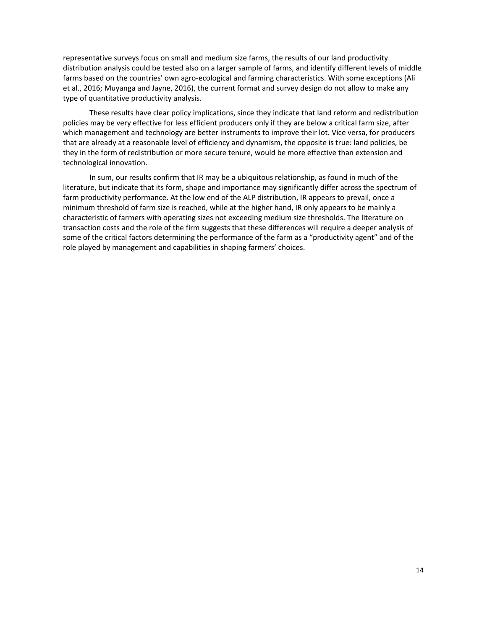representative surveys focus on small and medium size farms, the results of our land productivity distribution analysis could be tested also on a larger sample of farms, and identify different levels of middle farms based on the countries' own agro-ecological and farming characteristics. With some exceptions (Ali et al., 2016; Muyanga and Jayne, 2016), the current format and survey design do not allow to make any type of quantitative productivity analysis.

These results have clear policy implications, since they indicate that land reform and redistribution policies may be very effective for less efficient producers only if they are below a critical farm size, after which management and technology are better instruments to improve their lot. Vice versa, for producers that are already at a reasonable level of efficiency and dynamism, the opposite is true: land policies, be they in the form of redistribution or more secure tenure, would be more effective than extension and technological innovation.

In sum, our results confirm that IR may be a ubiquitous relationship, as found in much of the literature, but indicate that its form, shape and importance may significantly differ across the spectrum of farm productivity performance. At the low end of the ALP distribution, IR appears to prevail, once a minimum threshold of farm size is reached, while at the higher hand, IR only appears to be mainly a characteristic of farmers with operating sizes not exceeding medium size thresholds. The literature on transaction costs and the role of the firm suggests that these differences will require a deeper analysis of some of the critical factors determining the performance of the farm as a "productivity agent" and of the role played by management and capabilities in shaping farmers' choices.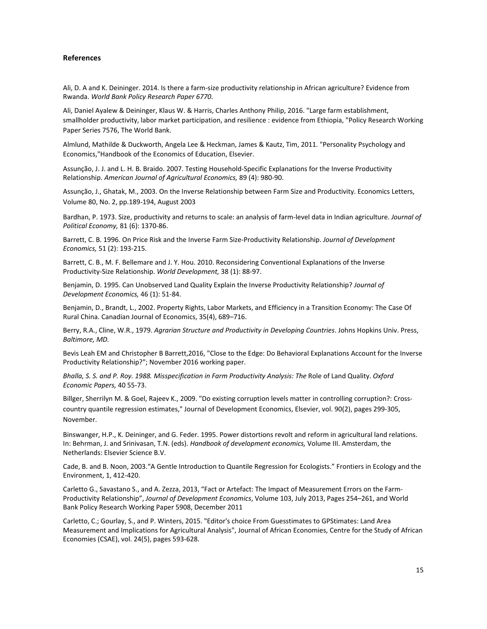#### **References**

Ali, D. A and K. Deininger. 2014. Is there a farm-size productivity relationship in African agriculture? Evidence from Rwanda. *World Bank Policy Research Paper 6770*.

Ali, Daniel Ayalew & Deininger, Klaus W. & Harris, Charles Anthony Philip, 2016. "Large farm establishment, smallholder productivity, labor market participation, and resilience : evidence from Ethiopia, "Policy Research Working Paper Series 7576, The World Bank.

Almlund, Mathilde & Duckworth, Angela Lee & Heckman, James & Kautz, Tim, 2011. "Personality Psychology and Economics,"Handbook of the Economics of Education, Elsevier.

Assunção, J. J. and L. H. B. Braido. 2007. Testing Household-Specific Explanations for the Inverse Productivity Relationship. *American Journal of Agricultural Economics,* 89 (4): 980-90.

Assunção, J., Ghatak, M., 2003. On the Inverse Relationship between Farm Size and Productivity. Economics Letters, Volume 80, No. 2, pp.189-194, August 2003

Bardhan, P. 1973. Size, productivity and returns to scale: an analysis of farm-level data in Indian agriculture. *Journal of Political Economy,* 81 (6): 1370-86.

Barrett, C. B. 1996. On Price Risk and the Inverse Farm Size-Productivity Relationship. *Journal of Development Economics,* 51 (2): 193-215.

Barrett, C. B., M. F. Bellemare and J. Y. Hou. 2010. Reconsidering Conventional Explanations of the Inverse Productivity-Size Relationship. *World Development,* 38 (1): 88-97.

Benjamin, D. 1995. Can Unobserved Land Quality Explain the Inverse Productivity Relationship? *Journal of Development Economics,* 46 (1): 51-84.

Benjamin, D., Brandt, L., 2002. Property Rights, Labor Markets, and Efficiency in a Transition Economy: The Case Of Rural China. Canadian Journal of Economics, 35(4), 689–716.

Berry, R.A., Cline, W.R., 1979. *Agrarian Structure and Productivity in Developing Countries*. Johns Hopkins Univ. Press, *Baltimore, MD.* 

Bevis Leah EM and Christopher B Barrett,2016, "Close to the Edge: Do Behavioral Explanations Account for the Inverse Productivity Relationship?"; November 2016 working paper.

*Bhalla, S. S. and P. Roy. 1988. Misspecification in Farm Productivity Analysis: The* Role of Land Quality. *Oxford Economic Papers,* 40 55-73.

Billger, Sherrilyn M. & Goel, Rajeev K., 2009. "Do existing corruption levels matter in controlling corruption?: Crosscountry quantile regression estimates," Journal of Development Economics, Elsevier, vol. 90(2), pages 299-305, November.

Binswanger, H.P., K. Deininger, and G. Feder. 1995. Power distortions revolt and reform in agricultural land relations. In: Behrman, J. and Srinivasan, T.N. (eds). *Handbook of development economics,* Volume III. Amsterdam, the Netherlands: Elsevier Science B.V.

Cade, B. and B. Noon, 2003."A Gentle Introduction to Quantile Regression for Ecologists." Frontiers in Ecology and the Environment, 1, 412-420.

Carletto G., Savastano S., and A. Zezza, 2013, "Fact or Artefact: The Impact of Measurement Errors on the Farm-Productivity Relationship", *Journal of Development Economics*, Volume 103, July 2013, Pages 254–261, and World Bank Policy Research Working Paper 5908, December 2011

Carletto, C.; Gourlay, S., and P. Winters, 2015. "Editor's choice From Guesstimates to GPStimates: Land Area Measurement and Implications for Agricultural Analysis", Journal of African Economies, Centre for the Study of African Economies (CSAE), vol. 24(5), pages 593-628.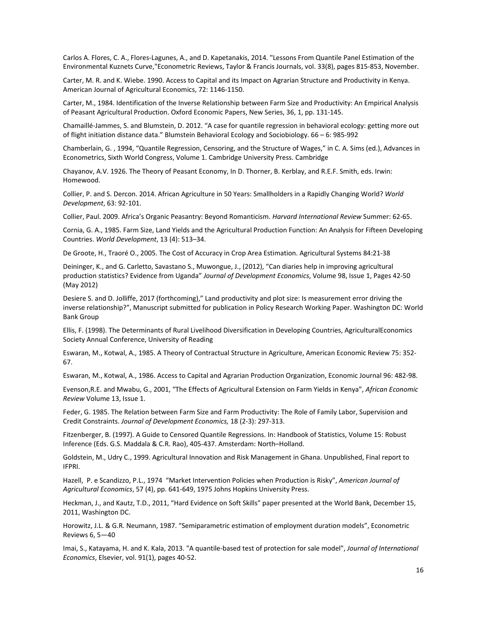Carlos A. Flores, C. A., Flores-Lagunes, A., and D. Kapetanakis, 2014. "Lessons From Quantile Panel Estimation of the Environmental Kuznets Curve,"Econometric Reviews, Taylor & Francis Journals, vol. 33(8), pages 815-853, November.

Carter, M. R. and K. Wiebe. 1990. Access to Capital and its Impact on Agrarian Structure and Productivity in Kenya. American Journal of Agricultural Economics, 72: 1146-1150.

Carter, M., 1984. Identification of the Inverse Relationship between Farm Size and Productivity: An Empirical Analysis of Peasant Agricultural Production. Oxford Economic Papers, New Series, 36, 1, pp. 131-145.

Chamaillé-Jammes, S. and Blumstein, D. 2012. "A case for quantile regression in behavioral ecology: getting more out of flight initiation distance data." Blumstein Behavioral Ecology and Sociobiology. 66 – 6: 985-992

Chamberlain, G. , 1994, "Quantile Regression, Censoring, and the Structure of Wages," in C. A. Sims (ed.), Advances in Econometrics, Sixth World Congress, Volume 1. Cambridge University Press. Cambridge

Chayanov, A.V. 1926. The Theory of Peasant Economy, In D. Thorner, B. Kerblay, and R.E.F. Smith, eds. Irwin: Homewood.

Collier, P. and S. Dercon. 2014. African Agriculture in 50 Years: Smallholders in a Rapidly Changing World? *World Development*, 63: 92-101.

Collier, Paul. 2009. Africa's Organic Peasantry: Beyond Romanticism. *Harvard International Review* Summer: 62-65.

Cornia, G. A., 1985. Farm Size, Land Yields and the Agricultural Production Function: An Analysis for Fifteen Developing Countries. *World Development*, 13 (4): 513–34.

De Groote, H., Traoré O., 2005. The Cost of Accuracy in Crop Area Estimation. Agricultural Systems 84:21-38

Deininger, K., and G. Carletto, Savastano S., Muwongue, J., (2012), "Can diaries help in improving agricultural production statistics? Evidence from Uganda" *Journal of Development Economics*, Volume 98, Issue 1, Pages 42-50 (May 2012)

Desiere S. and D. Jolliffe, 2017 (forthcoming)," Land productivity and plot size: Is measurement error driving the inverse relationship?", Manuscript submitted for publication in Policy Research Working Paper. Washington DC: World Bank Group

Ellis, F. (1998). The Determinants of Rural Livelihood Diversification in Developing Countries, AgriculturalEconomics Society Annual Conference, University of Reading

Eswaran, M., Kotwal, A., 1985. A Theory of Contractual Structure in Agriculture, American Economic Review 75: 352- 67.

Eswaran, M., Kotwal, A., 1986. Access to Capital and Agrarian Production Organization, Economic Journal 96: 482-98.

Evenson,R.E. and Mwabu, G., 2001, "The Effects of Agricultural Extension on Farm Yields in Kenya", *African Economic Review* Volume 13, Issue 1.

Feder, G. 1985. The Relation between Farm Size and Farm Productivity: The Role of Family Labor, Supervision and Credit Constraints. *Journal of Development Economics,* 18 (2-3): 297-313.

Fitzenberger, B. (1997). A Guide to Censored Quantile Regressions. In: Handbook of Statistics, Volume 15: Robust Inference (Eds. G.S. Maddala & C.R. Rao), 405-437. Amsterdam: North–Holland.

Goldstein, M., Udry C., 1999. Agricultural Innovation and Risk Management in Ghana. Unpublished, Final report to IFPRI.

Hazell, P. e Scandizzo, P.L., 1974 "Market Intervention Policies when Production is Risky", *American Journal of Agricultural Economics*, 57 (4), pp. 641-649, 1975 Johns Hopkins University Press.

Heckman, J., and Kautz, T.D., 2011, "Hard Evidence on Soft Skills" paper presented at the World Bank, December 15, 2011, Washington DC.

Horowitz, J.L. & G.R. Neumann, 1987. "Semiparametric estimation of employment duration models", Econometric Reviews 6, 5—40

Imai, S., Katayama, H. and K. Kala, 2013. "A quantile-based test of protection for sale model", *Journal of International Economics*, Elsevier, vol. 91(1), pages 40-52.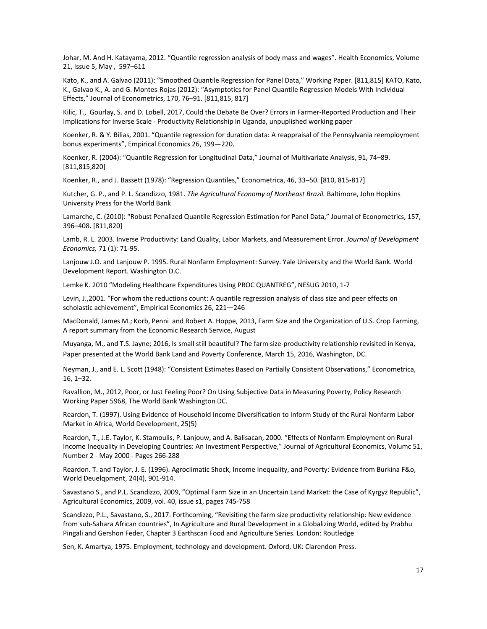Johar, M. And H. Katayama, 2012. "Quantile regression analysis of body mass and wages". Health Economics, Volume 21, Issue 5, May , 597–611

Kato, K., and A. Galvao (2011): "Smoothed Quantile Regression for Panel Data," Working Paper. [811,815] KATO, Kato, K., Galvao K., A. and G. Montes-Rojas (2012): "Asymptotics for Panel Quantile Regression Models With Individual Effects," Journal of Econometrics, 170, 76–91. [811,815, 817]

Kilic, T., Gourlay, S. and D. Lobell, 2017, Could the Debate Be Over? Errors in Farmer-Reported Production and Their Implications for Inverse Scale - Productivity Relationship in Uganda, unpuplished working paper

Koenker, R. & Y. Bilias, 2001. "Quantile regression for duration data: A reappraisal of the Pennsylvania reemployment bonus experiments", Empirical Economics 26, 199—220.

Koenker, R. (2004): "Quantile Regression for Longitudinal Data," Journal of Multivariate Analysis, 91, 74–89. [811,815,820]

Koenker, R., and J. Bassett (1978): "Regression Quantiles," Econometrica, 46, 33–50. [810, 815-817]

Kutcher, G. P., and P. L. Scandizzo, 1981. *The Agricultural Economy of Northeast Brazil.* Baltimore, John Hopkins University Press for the World Bank

Lamarche, C. (2010): "Robust Penalized Quantile Regression Estimation for Panel Data," Journal of Econometrics, 157, 396–408. [811,820]

Lamb, R. L. 2003. Inverse Productivity: Land Quality, Labor Markets, and Measurement Error. *Journal of Development Economics,* 71 (1): 71-95.

Lanjouw J.O. and Lanjouw P. 1995. Rural Nonfarm Employment: Survey. Yale University and the World Bank. World Development Report. Washington D.C.

Lemke K. 2010 "Modeling Healthcare Expenditures Using PROC QUANTREG", NESUG 2010, 1-7

Levin, J.,2001. "For whom the reductions count: A quantile regression analysis of class size and peer effects on scholastic achievement", Empirical Economics 26, 221—246

MacDonald, James M.; Korb, Penni and Robert A. Hoppe, 2013, Farm Size and the Organization of U.S. Crop Farming, A report summary from the Economic Research Service, August

Muyanga, M., and T.S. Jayne; 2016, Is small still beautiful? The farm size-productivity relationship revisited in Kenya, Paper presented at the World Bank Land and Poverty Conference, March 15, 2016, Washington, DC.

Neyman, J., and E. L. Scott (1948): "Consistent Estimates Based on Partially Consistent Observations," Econometrica, 16, 1–32.

Ravallion, M., 2012, Poor, or Just Feeling Poor? On Using Subjective Data in Measuring Poverty, Policy Research Working Paper 5968, The World Bank Washington DC.

Reardon, T. (1997). Using Evidence of Household Income Diversification to Inform Study of thc Rural Nonfarm Labor Market in Africa, World Development, 25(5)

Reardon, T., J.E. Taylor, K. Stamoulis, P. Lanjouw, and A. Balisacan, 2000. "Effects of Nonfarm Employment on Rural Income Inequality in Developing Countries: An Investment Perspective," Journal of Agricultural Economics, Volumc 51, Number 2 - May 2000 - Pages 266-288

Reardon. T. and Taylor, J. E. (1996). Agroclimatic Shock, Income Inequality, and Poverty: Evidence from Burkina F&o, World Deuelqpment, 24(4), 901-914.

Savastano S., and P.L. Scandizzo, 2009, "Optimal Farm Size in an Uncertain Land Market: the Case of Kyrgyz Republic", Agricultural Economics, 2009, vol. 40, issue s1, pages 745-758

Scandizzo, P.L., Savastano, S., 2017. Forthcoming, "Revisiting the farm size productivity relationship: New evidence from sub-Sahara African countries", In Agriculture and Rural Development in a Globalizing World, edited by Prabhu Pingali and Gershon Feder, Chapter 3 Earthscan Food and Agriculture Series. London: Routledge

Sen, K. Amartya, 1975. Employment, technology and development. Oxford, UK: Clarendon Press.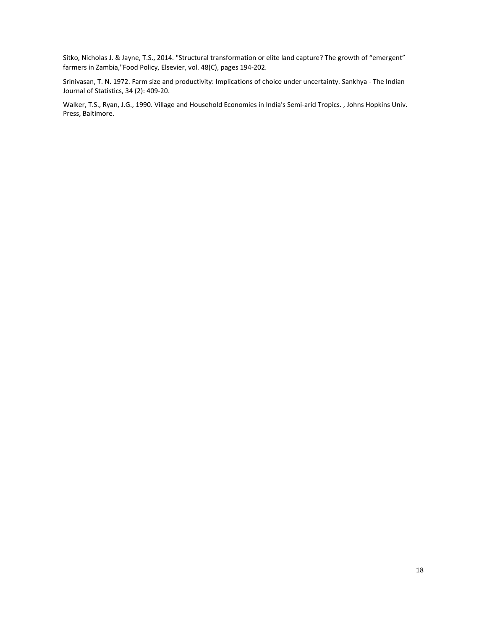Sitko, Nicholas J. & Jayne, T.S., 2014. "Structural transformation or elite land capture? The growth of "emergent" farmers in Zambia,"Food Policy, Elsevier, vol. 48(C), pages 194-202.

Srinivasan, T. N. 1972. Farm size and productivity: Implications of choice under uncertainty. Sankhya - The Indian Journal of Statistics, 34 (2): 409-20.

Walker, T.S., Ryan, J.G., 1990. Village and Household Economies in India's Semi-arid Tropics. , Johns Hopkins Univ. Press, Baltimore.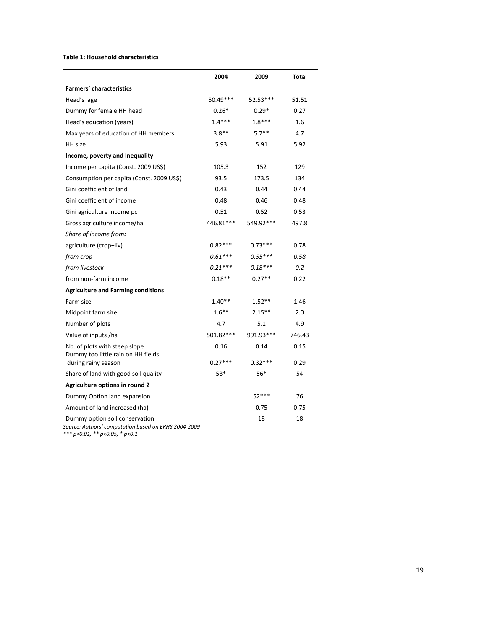#### **Table 1: Household characteristics**

|                                                                     | 2004      | 2009      |        |
|---------------------------------------------------------------------|-----------|-----------|--------|
| <b>Farmers' characteristics</b>                                     |           |           | Total  |
| Head's age                                                          | 50.49***  | 52.53***  | 51.51  |
|                                                                     |           |           |        |
| Dummy for female HH head                                            | $0.26*$   | $0.29*$   | 0.27   |
| Head's education (years)                                            | $1.4***$  | $1.8***$  | 1.6    |
| Max years of education of HH members                                | $3.8**$   | $5.7**$   | 4.7    |
| HH size                                                             | 5.93      | 5.91      | 5.92   |
| Income, poverty and Inequality                                      |           |           |        |
| Income per capita (Const. 2009 US\$)                                | 105.3     | 152       | 129    |
| Consumption per capita (Const. 2009 US\$)                           | 93.5      | 173.5     | 134    |
| Gini coefficient of land                                            | 0.43      | 0.44      | 0.44   |
| Gini coefficient of income                                          | 0.48      | 0.46      | 0.48   |
| Gini agriculture income pc                                          | 0.51      | 0.52      | 0.53   |
| Gross agriculture income/ha                                         | 446.81*** | 549.92*** | 497.8  |
| Share of income from:                                               |           |           |        |
| agriculture (crop+liv)                                              | $0.82***$ | $0.73***$ | 0.78   |
| from crop                                                           | $0.61***$ | $0.55***$ | 0.58   |
| from livestock                                                      | $0.21***$ | $0.18***$ | 0.2    |
| from non-farm income                                                | $0.18**$  | $0.27**$  | 0.22   |
| <b>Agriculture and Farming conditions</b>                           |           |           |        |
| Farm size                                                           | $1.40**$  | $1.52**$  | 1.46   |
| Midpoint farm size                                                  | $1.6***$  | $2.15**$  | 2.0    |
| Number of plots                                                     | 4.7       | 5.1       | 4.9    |
| Value of inputs /ha                                                 | 501.82*** | 991.93*** | 746.43 |
| Nb. of plots with steep slope<br>Dummy too little rain on HH fields | 0.16      | 0.14      | 0.15   |
| during rainy season                                                 | $0.27***$ | $0.32***$ | 0.29   |
| Share of land with good soil quality                                | 53*       | 56*       | 54     |
| Agriculture options in round 2                                      |           |           |        |
| Dummy Option land expansion                                         |           | $52***$   | 76     |
| Amount of land increased (ha)                                       |           | 0.75      | 0.75   |
| Dummy option soil conservation                                      |           | 18        | 18     |

*Source: Authors' computation based on ERHS 2004-2009*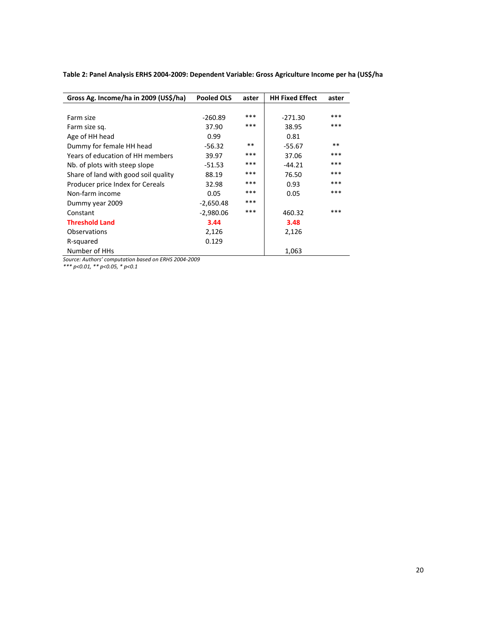| Gross Ag. Income/ha in 2009 (US\$/ha) | <b>Pooled OLS</b> | aster | <b>HH Fixed Effect</b> | aster |
|---------------------------------------|-------------------|-------|------------------------|-------|
|                                       |                   |       |                        |       |
| Farm size                             | $-260.89$         | ***   | $-271.30$              | ***   |
| Farm size sq.                         | 37.90             | ***   | 38.95                  | ***   |
| Age of HH head                        | 0.99              |       | 0.81                   |       |
| Dummy for female HH head              | $-56.32$          | $**$  | $-55.67$               | $***$ |
| Years of education of HH members      | 39.97             | ***   | 37.06                  | ***   |
| Nb. of plots with steep slope         | -51.53            | ***   | $-44.21$               | ***   |
| Share of land with good soil quality  | 88.19             | ***   | 76.50                  | ***   |
| Producer price Index for Cereals      | 32.98             | ***   | 0.93                   | ***   |
| Non-farm income                       | 0.05              | ***   | 0.05                   | ***   |
| Dummy year 2009                       | $-2,650.48$       | ***   |                        |       |
| Constant                              | $-2,980.06$       | ***   | 460.32                 | ***   |
| <b>Threshold Land</b>                 | 3.44              |       | 3.48                   |       |
| Observations                          | 2,126             |       | 2,126                  |       |
| R-squared                             | 0.129             |       |                        |       |
| Number of HHs                         |                   |       | 1,063                  |       |

**Table 2: Panel Analysis ERHS 2004-2009: Dependent Variable: Gross Agriculture Income per ha (US\$/ha** 

*Source: Authors' computation based on ERHS 2004-2009*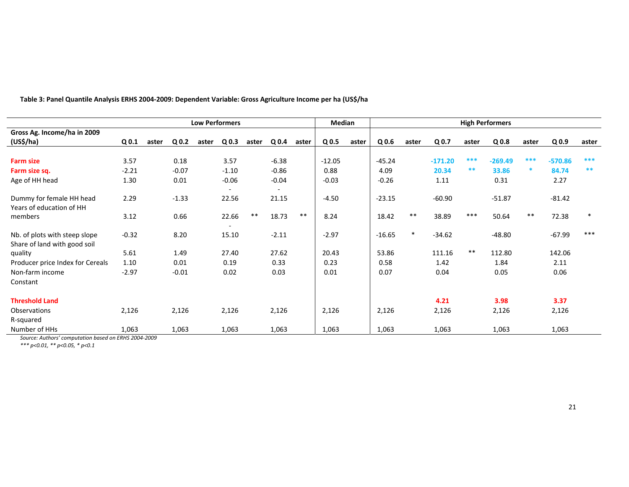|                                  | <b>Low Performers</b> |       |                  |       |                  |       |                          |       |                  | <b>Median</b> | <b>High Performers</b> |       |           |       |                  |       |                  |        |
|----------------------------------|-----------------------|-------|------------------|-------|------------------|-------|--------------------------|-------|------------------|---------------|------------------------|-------|-----------|-------|------------------|-------|------------------|--------|
| Gross Ag. Income/ha in 2009      |                       |       |                  |       |                  |       |                          |       |                  |               |                        |       |           |       |                  |       |                  |        |
| (US <sup>2</sup> /ha)            | Q <sub>0.1</sub>      | aster | Q <sub>0.2</sub> | aster | Q <sub>0.3</sub> | aster | Q <sub>0.4</sub>         | aster | Q <sub>0.5</sub> | aster         | Q <sub>0.6</sub>       | aster | Q 0.7     | aster | Q <sub>0.8</sub> | aster | Q <sub>0.9</sub> | aster  |
|                                  |                       |       |                  |       |                  |       |                          |       |                  |               |                        |       |           |       |                  |       |                  |        |
| <b>Farm size</b>                 | 3.57                  |       | 0.18             |       | 3.57             |       | $-6.38$                  |       | $-12.05$         |               | $-45.24$               |       | $-171.20$ | ***   | $-269.49$        | ***   | $-570.86$        | ***    |
| Farm size sq.                    | $-2.21$               |       | $-0.07$          |       | $-1.10$          |       | $-0.86$                  |       | 0.88             |               | 4.09                   |       | 20.34     | **    | 33.86            | *     | 84.74            | **     |
| Age of HH head                   | 1.30                  |       | 0.01             |       | $-0.06$          |       | $-0.04$                  |       | $-0.03$          |               | $-0.26$                |       | 1.11      |       | 0.31             |       | 2.27             |        |
|                                  |                       |       |                  |       |                  |       | $\overline{\phantom{a}}$ |       |                  |               |                        |       |           |       |                  |       |                  |        |
| Dummy for female HH head         | 2.29                  |       | $-1.33$          |       | 22.56            |       | 21.15                    |       | $-4.50$          |               | $-23.15$               |       | $-60.90$  |       | $-51.87$         |       | $-81.42$         |        |
| Years of education of HH         |                       |       |                  |       |                  |       |                          |       |                  |               |                        |       |           |       |                  |       |                  |        |
| members                          | 3.12                  |       | 0.66             |       | 22.66            | $***$ | 18.73                    | $***$ | 8.24             |               | 18.42                  | $***$ | 38.89     | $***$ | 50.64            | $***$ | 72.38            | $\ast$ |
|                                  |                       |       |                  |       | $\sim$           |       |                          |       |                  |               |                        |       |           |       |                  |       |                  |        |
| Nb. of plots with steep slope    | $-0.32$               |       | 8.20             |       | 15.10            |       | $-2.11$                  |       | $-2.97$          |               | $-16.65$               |       | $-34.62$  |       | $-48.80$         |       | $-67.99$         | $***$  |
| Share of land with good soil     |                       |       |                  |       |                  |       |                          |       |                  |               |                        |       |           |       |                  |       |                  |        |
| quality                          | 5.61                  |       | 1.49             |       | 27.40            |       | 27.62                    |       | 20.43            |               | 53.86                  |       | 111.16    | $***$ | 112.80           |       | 142.06           |        |
| Producer price Index for Cereals | 1.10                  |       | 0.01             |       | 0.19             |       | 0.33                     |       | 0.23             |               | 0.58                   |       | 1.42      |       | 1.84             |       | 2.11             |        |
| Non-farm income                  | $-2.97$               |       | $-0.01$          |       | 0.02             |       | 0.03                     |       | 0.01             |               | 0.07                   |       | 0.04      |       | 0.05             |       | 0.06             |        |
| Constant                         |                       |       |                  |       |                  |       |                          |       |                  |               |                        |       |           |       |                  |       |                  |        |
|                                  |                       |       |                  |       |                  |       |                          |       |                  |               |                        |       |           |       |                  |       |                  |        |
| <b>Threshold Land</b>            |                       |       |                  |       |                  |       |                          |       |                  |               |                        |       | 4.21      |       | 3.98             |       | 3.37             |        |
| <b>Observations</b>              | 2,126                 |       | 2,126            |       | 2,126            |       | 2,126                    |       | 2,126            |               | 2,126                  |       | 2,126     |       | 2,126            |       | 2,126            |        |
| R-squared                        |                       |       |                  |       |                  |       |                          |       |                  |               |                        |       |           |       |                  |       |                  |        |
| Number of HHs                    | 1,063                 |       | 1,063            |       | 1,063            |       | 1,063                    |       | 1,063            |               | 1,063                  |       | 1,063     |       | 1,063            |       | 1,063            |        |

**Table 3: Panel Quantile Analysis ERHS 2004-2009: Dependent Variable: Gross Agriculture Income per ha (US\$/ha** 

*Source: Authors' computation based on ERHS 2004-2009*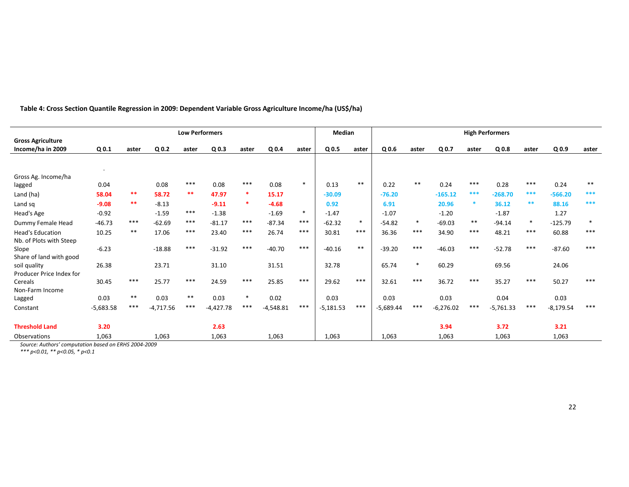|                                               | <b>Low Performers</b> |       |                  |       |                  |        |             |        | <b>Median</b>    |        | <b>High Performers</b> |        |                  |       |                  |        |                  |        |  |  |  |
|-----------------------------------------------|-----------------------|-------|------------------|-------|------------------|--------|-------------|--------|------------------|--------|------------------------|--------|------------------|-------|------------------|--------|------------------|--------|--|--|--|
| <b>Gross Agriculture</b><br>Income/ha in 2009 | Q <sub>0.1</sub>      | aster | Q <sub>0.2</sub> | aster | Q <sub>0.3</sub> | aster  | $Q$ 0.4     | aster  | Q <sub>0.5</sub> | aster  | Q <sub>0.6</sub>       | aster  | Q <sub>0.7</sub> | aster | Q <sub>0.8</sub> | aster  | Q <sub>0.9</sub> | aster  |  |  |  |
|                                               |                       |       |                  |       |                  |        |             |        |                  |        |                        |        |                  |       |                  |        |                  |        |  |  |  |
| Gross Ag. Income/ha                           |                       |       |                  |       |                  |        |             |        |                  |        |                        |        |                  |       |                  |        |                  |        |  |  |  |
| lagged                                        | 0.04                  |       | 0.08             | $***$ | 0.08             | $***$  | 0.08        | $\ast$ | 0.13             | $***$  | 0.22                   | $***$  | 0.24             | $***$ | 0.28             | $***$  | 0.24             | $***$  |  |  |  |
| Land (ha)                                     | 58.04                 | $***$ | 58.72            | **    | 47.97            | $\ast$ | 15.17       |        | $-30.09$         |        | $-76.20$               |        | $-165.12$        | ***   | $-268.70$        | ***    | $-566.20$        | ***    |  |  |  |
| Land sq                                       | $-9.08$               | **    | $-8.13$          |       | $-9.11$          | $\ast$ | $-4.68$     |        | 0.92             |        | 6.91                   |        | 20.96            |       | 36.12            | **     | 88.16            | ***    |  |  |  |
| Head's Age                                    | $-0.92$               |       | $-1.59$          | ***   | $-1.38$          |        | $-1.69$     | $\ast$ | $-1.47$          |        | $-1.07$                |        | $-1.20$          |       | $-1.87$          |        | 1.27             |        |  |  |  |
| Dummy Female Head                             | $-46.73$              | $***$ | $-62.69$         | ***   | $-81.17$         | ***    | $-87.34$    | ***    | $-62.32$         | $\ast$ | $-54.82$               | $\ast$ | $-69.03$         | $***$ | $-94.14$         | $\ast$ | $-125.79$        | $\ast$ |  |  |  |
| <b>Head's Education</b>                       | 10.25                 | $***$ | 17.06            | $***$ | 23.40            | ***    | 26.74       | $***$  | 30.81            | $***$  | 36.36                  | $***$  | 34.90            | $***$ | 48.21            | $***$  | 60.88            | $***$  |  |  |  |
| Nb. of Plots with Steep                       |                       |       |                  |       |                  |        |             |        |                  |        |                        |        |                  |       |                  |        |                  |        |  |  |  |
| Slope                                         | $-6.23$               |       | $-18.88$         | $***$ | $-31.92$         | $***$  | $-40.70$    | $***$  | $-40.16$         | $***$  | $-39.20$               | $***$  | $-46.03$         | $***$ | $-52.78$         | $***$  | $-87.60$         | $***$  |  |  |  |
| Share of land with good                       |                       |       |                  |       |                  |        |             |        |                  |        |                        |        |                  |       |                  |        |                  |        |  |  |  |
| soil quality                                  | 26.38                 |       | 23.71            |       | 31.10            |        | 31.51       |        | 32.78            |        | 65.74                  | $\ast$ | 60.29            |       | 69.56            |        | 24.06            |        |  |  |  |
| Producer Price Index for<br>Cereals           | 30.45                 | $***$ | 25.77            | $***$ | 24.59            | $***$  | 25.85       | $***$  | 29.62            | $***$  | 32.61                  | $***$  | 36.72            | $***$ | 35.27            | $***$  | 50.27            | $***$  |  |  |  |
| Non-Farm Income                               |                       |       |                  |       |                  |        |             |        |                  |        |                        |        |                  |       |                  |        |                  |        |  |  |  |
| Lagged                                        | 0.03                  | $***$ | 0.03             | $***$ | 0.03             | $\ast$ | 0.02        |        | 0.03             |        | 0.03                   |        | 0.03             |       | 0.04             |        | 0.03             |        |  |  |  |
| Constant                                      | $-5,683.58$           | $***$ | $-4,717.56$      | $***$ | $-4,427.78$      | $***$  | $-4,548.81$ | $***$  | $-5,181.53$      | $***$  | $-5,689.44$            | $***$  | $-6,276.02$      | $***$ | $-5,761.33$      | $***$  | $-8,179.54$      | $***$  |  |  |  |
|                                               |                       |       |                  |       |                  |        |             |        |                  |        |                        |        |                  |       |                  |        |                  |        |  |  |  |
| <b>Threshold Land</b>                         | 3.20                  |       |                  |       | 2.63             |        |             |        |                  |        |                        |        | 3.94             |       | 3.72             |        | 3.21             |        |  |  |  |
| Observations                                  | 1,063                 |       | 1,063            |       | 1,063            |        | 1,063       |        | 1,063            |        | 1,063                  |        | 1,063            |       | 1,063            |        | 1,063            |        |  |  |  |

**Table 4: Cross Section Quantile Regression in 2009: Dependent Variable Gross Agriculture Income/ha (US\$/ha)** 

*Source: Authors' computation based on ERHS 2004-2009*